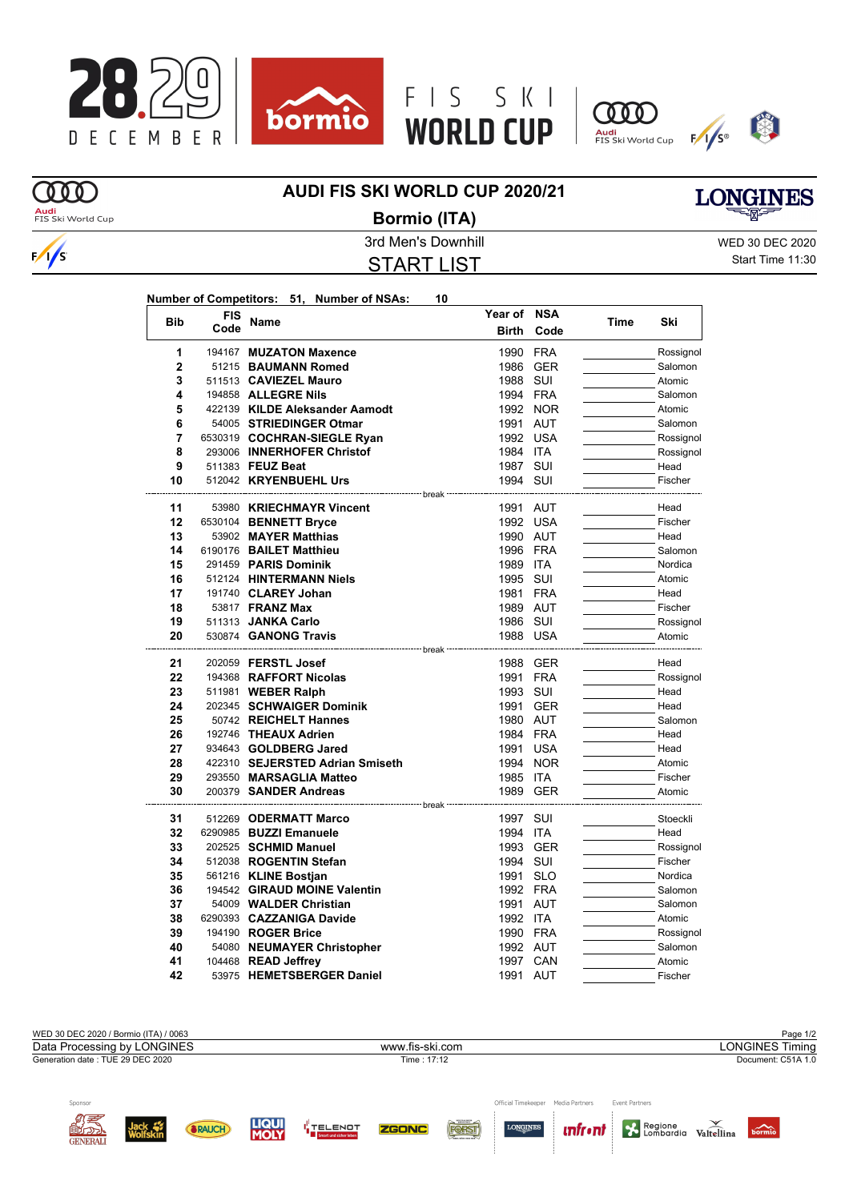







## **AUDI FIS SKI WORLD CUP 2020/21**



 $\frac{1}{s}$ 

## **Bormio (ITA)**



3rd Men's Downhill WED 30 DEC 2020 START LIST

Start Time 11:30

|                |            | Number of Competitors: 51, Number of NSAs:     | 10                   |            |      |                     |
|----------------|------------|------------------------------------------------|----------------------|------------|------|---------------------|
| <b>Bib</b>     | <b>FIS</b> | Name                                           | Year of              | <b>NSA</b> | Time | Ski                 |
|                | Code       |                                                | <b>Birth</b>         | Code       |      |                     |
| 1              |            | 194167 MUZATON Maxence                         | 1990                 | <b>FRA</b> |      | Rossignol           |
| $\overline{2}$ |            | 51215 BAUMANN Romed                            |                      | 1986 GER   |      | Salomon             |
| 3              |            | 511513 CAVIEZEL Mauro                          | 1988 SUI             |            |      | Atomic              |
| 4              |            | 194858 ALLEGRE Nils                            | 1994 FRA             |            |      | Salomon             |
| 5              |            | 422139 KILDE Aleksander Aamodt                 |                      | 1992 NOR   |      | Atomic              |
| 6              |            | 54005 STRIEDINGER Otmar                        | 1991 AUT             |            |      | Salomon             |
| 7              |            | 6530319 COCHRAN-SIEGLE Ryan                    |                      | 1992 USA   |      | Rossignol           |
| 8              |            | 293006 INNERHOFER Christof                     | 1984 ITA             |            |      | Rossignol           |
| 9              |            | 511383 FEUZ Beat                               | 1987 SUI             |            |      | Head                |
| 10             |            | 512042 KRYENBUEHL Urs                          | 1994 SUI             |            |      | Fischer             |
|                |            |                                                |                      |            |      |                     |
| 11             |            | 53980 KRIECHMAYR Vincent                       | 1991 AUT             |            |      | Head                |
| 12             |            | 6530104 BENNETT Bryce                          |                      | 1992 USA   |      | Fischer             |
| 13             |            | 53902 MAYER Matthias                           | 1990 AUT             |            |      | Head                |
| 14             |            | 6190176 BAILET Matthieu                        | 1996 FRA             |            |      | Salomon             |
| 15             |            | 291459 PARIS Dominik                           | 1989 ITA             |            |      | Nordica             |
| 16<br>17       |            | 512124 HINTERMANN Niels<br>191740 CLAREY Johan | 1995 SUI<br>1981 FRA |            |      | Atomic<br>Head      |
|                |            | 53817 <b>FRANZ Max</b>                         | 1989 AUT             |            |      | Fischer             |
| 18             |            |                                                |                      |            |      |                     |
| 19<br>20       |            | 511313 JANKA Carlo<br>530874 GANONG Travis     | 1986 SUI<br>1988 USA |            |      | Rossignol<br>Atomic |
|                |            |                                                | ≕ break              |            |      |                     |
| 21             |            | 202059 <b>FERSTL Josef</b>                     |                      | 1988 GER   |      | Head                |
| 22             |            | 194368 RAFFORT Nicolas                         | 1991 FRA             |            |      | Rossignol           |
| 23             |            | 511981 WEBER Ralph                             | 1993 SUI             |            |      | Head                |
| 24             |            | 202345 SCHWAIGER Dominik                       |                      | 1991 GER   |      | Head                |
| 25             |            | 50742 REICHELT Hannes                          | 1980 AUT             |            |      | Salomon             |
| 26             |            | 192746 THEAUX Adrien                           | 1984 FRA             |            |      | Head                |
| 27             |            | 934643 GOLDBERG Jared                          |                      | 1991 USA   |      | Head                |
| 28             |            | 422310 SEJERSTED Adrian Smiseth                |                      | 1994 NOR   |      | Atomic              |
| 29             |            | 293550 MARSAGLIA Matteo                        | 1985 ITA             |            |      | Fischer             |
| 30             |            | 200379 SANDER Andreas                          |                      | 1989 GER   |      | Atomic              |
| 31             |            | 512269 ODERMATT Marco                          | break<br>1997        | SUI        |      | Stoeckli            |
| 32             |            | 6290985 BUZZI Emanuele                         | 1994 ITA             |            |      | Head                |
| 33             |            | 202525 SCHMID Manuel                           |                      | 1993 GER   |      | Rossignol           |
| 34             |            | 512038 ROGENTIN Stefan                         | 1994 SUI             |            |      | Fischer             |
| 35             |            | 561216 KLINE Bostjan                           | 1991 SLO             |            |      | Nordica             |
| 36             |            | 194542 GIRAUD MOINE Valentin                   | 1992 FRA             |            |      | Salomon             |
| 37             |            | 54009 WALDER Christian                         | 1991 AUT             |            |      | Salomon             |
| 38             |            | 6290393 CAZZANIGA Davide                       | 1992 ITA             |            |      | Atomic              |
| 39             |            | 194190 ROGER Brice                             | 1990 FRA             |            |      | Rossignol           |
| 40             |            | 54080 NEUMAYER Christopher                     | 1992 AUT             |            |      | Salomon             |
| 41             |            | 104468 READ Jeffrey                            |                      | 1997 CAN   |      | Atomic              |
| 42             |            | 53975 HEMETSBERGER Daniel                      | 1991 AUT             |            |      | Fischer             |